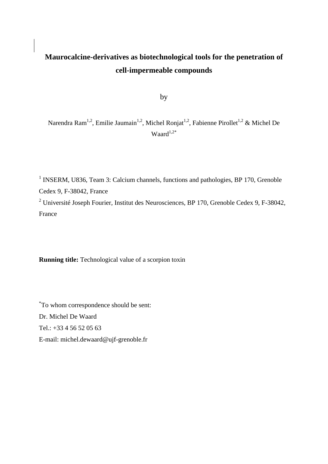# **Maurocalcine-derivatives as biotechnological tools for the penetration of cell-impermeable compounds**

by

Narendra Ram<sup>1,2</sup>, Emilie Jaumain<sup>1,2</sup>, Michel Ronjat<sup>1,2</sup>, Fabienne Pirollet<sup>1,2</sup> & Michel De Waard $1,2^*$ 

<sup>1</sup> INSERM, U836, Team 3: Calcium channels, functions and pathologies, BP 170, Grenoble Cedex 9, F-38042, France

<sup>2</sup> Université Joseph Fourier, Institut des Neurosciences, BP 170, Grenoble Cedex 9, F-38042, France

**Running title:** Technological value of a scorpion toxin

\* To whom correspondence should be sent: Dr. Michel De Waard Tel.: +33 4 56 52 05 63 E-mail: michel.dewaard@ujf-grenoble.fr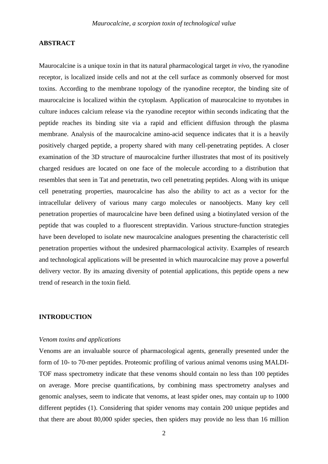### **ABSTRACT**

Maurocalcine is a unique toxin in that its natural pharmacological target *in vivo*, the ryanodine receptor, is localized inside cells and not at the cell surface as commonly observed for most toxins. According to the membrane topology of the ryanodine receptor, the binding site of maurocalcine is localized within the cytoplasm. Application of maurocalcine to myotubes in culture induces calcium release via the ryanodine receptor within seconds indicating that the peptide reaches its binding site via a rapid and efficient diffusion through the plasma membrane. Analysis of the maurocalcine amino-acid sequence indicates that it is a heavily positively charged peptide, a property shared with many cell-penetrating peptides. A closer examination of the 3D structure of maurocalcine further illustrates that most of its positively charged residues are located on one face of the molecule according to a distribution that resembles that seen in Tat and penetratin, two cell penetrating peptides. Along with its unique cell penetrating properties, maurocalcine has also the ability to act as a vector for the intracellular delivery of various many cargo molecules or nanoobjects. Many key cell penetration properties of maurocalcine have been defined using a biotinylated version of the peptide that was coupled to a fluorescent streptavidin. Various structure-function strategies have been developed to isolate new maurocalcine analogues presenting the characteristic cell penetration properties without the undesired pharmacological activity. Examples of research and technological applications will be presented in which maurocalcine may prove a powerful delivery vector. By its amazing diversity of potential applications, this peptide opens a new trend of research in the toxin field.

### **INTRODUCTION**

#### *Venom toxins and applications*

Venoms are an invaluable source of pharmacological agents, generally presented under the form of 10- to 70-mer peptides. Proteomic profiling of various animal venoms using MALDI-TOF mass spectrometry indicate that these venoms should contain no less than 100 peptides on average. More precise quantifications, by combining mass spectrometry analyses and genomic analyses, seem to indicate that venoms, at least spider ones, may contain up to 1000 different peptides (1). Considering that spider venoms may contain 200 unique peptides and that there are about 80,000 spider species, then spiders may provide no less than 16 million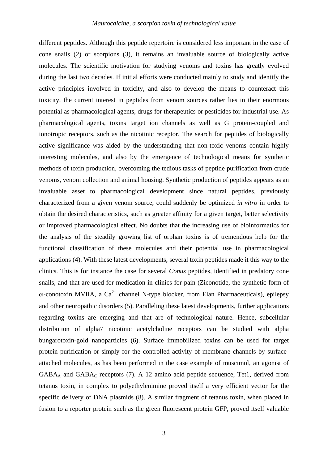different peptides. Although this peptide repertoire is considered less important in the case of cone snails (2) or scorpions (3), it remains an invaluable source of biologically active molecules. The scientific motivation for studying venoms and toxins has greatly evolved during the last two decades. If initial efforts were conducted mainly to study and identify the active principles involved in toxicity, and also to develop the means to counteract this toxicity, the current interest in peptides from venom sources rather lies in their enormous potential as pharmacological agents, drugs for therapeutics or pesticides for industrial use. As pharmacological agents, toxins target ion channels as well as G protein-coupled and ionotropic receptors, such as the nicotinic receptor. The search for peptides of biologically active significance was aided by the understanding that non-toxic venoms contain highly interesting molecules, and also by the emergence of technological means for synthetic methods of toxin production, overcoming the tedious tasks of peptide purification from crude venoms, venom collection and animal housing. Synthetic production of peptides appears as an invaluable asset to pharmacological development since natural peptides, previously characterized from a given venom source, could suddenly be optimized *in vitro* in order to obtain the desired characteristics, such as greater affinity for a given target, better selectivity or improved pharmacological effect. No doubts that the increasing use of bioinformatics for the analysis of the steadily growing list of orphan toxins is of tremendous help for the functional classification of these molecules and their potential use in pharmacological applications (4). With these latest developments, several toxin peptides made it this way to the clinics. This is for instance the case for several *Conus* peptides, identified in predatory cone snails, and that are used for medication in clinics for pain (Ziconotide, the synthetic form of  $\omega$ -conotoxin MVIIA, a Ca<sup>2+</sup> channel N-type blocker, from Elan Pharmaceuticals), epilepsy and other neuropathic disorders (5). Paralleling these latest developments, further applications regarding toxins are emerging and that are of technological nature. Hence, subcellular distribution of alpha7 nicotinic acetylcholine receptors can be studied with alpha bungarotoxin-gold nanoparticles (6). Surface immobilized toxins can be used for target protein purification or simply for the controlled activity of membrane channels by surfaceattached molecules, as has been performed in the case example of muscimol, an agonist of  $GABA_A$  and  $GABA_C$  receptors (7). A 12 amino acid peptide sequence, Tet1, derived from tetanus toxin, in complex to polyethylenimine proved itself a very efficient vector for the specific delivery of DNA plasmids (8). A similar fragment of tetanus toxin, when placed in fusion to a reporter protein such as the green fluorescent protein GFP, proved itself valuable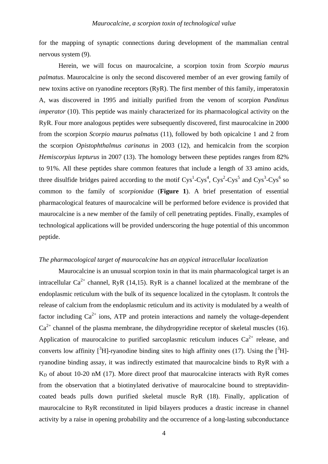for the mapping of synaptic connections during development of the mammalian central nervous system (9).

 Herein, we will focus on maurocalcine, a scorpion toxin from *Scorpio maurus palmatus*. Maurocalcine is only the second discovered member of an ever growing family of new toxins active on ryanodine receptors (RyR). The first member of this family, imperatoxin A, was discovered in 1995 and initially purified from the venom of scorpion *Pandinus imperator* (10). This peptide was mainly characterized for its pharmacological activity on the RyR. Four more analogous peptides were subsequently discovered, first maurocalcine in 2000 from the scorpion *Scorpio maurus palmatus* (11), followed by both opicalcine 1 and 2 from the scorpion *Opistophthalmus carinatus* in 2003 (12), and hemicalcin from the scorpion *Hemiscorpius lepturus* in 2007 (13). The homology between these peptides ranges from 82% to 91%. All these peptides share common features that include a length of 33 amino acids, three disulfide bridges paired according to the motif  $Cys<sup>1</sup>-Cys<sup>4</sup>$ ,  $Cys<sup>2</sup>-Cys<sup>5</sup>$  and  $Cys<sup>3</sup>-Cys<sup>6</sup>$  so common to the family of *scorpionidae* (**Figure 1**). A brief presentation of essential pharmacological features of maurocalcine will be performed before evidence is provided that maurocalcine is a new member of the family of cell penetrating peptides. Finally, examples of technological applications will be provided underscoring the huge potential of this uncommon peptide.

# *The pharmacological target of maurocalcine has an atypical intracellular localization*

Maurocalcine is an unusual scorpion toxin in that its main pharmacological target is an intracellular  $Ca^{2+}$  channel, RyR (14,15). RyR is a channel localized at the membrane of the endoplasmic reticulum with the bulk of its sequence localized in the cytoplasm. It controls the release of calcium from the endoplasmic reticulum and its activity is modulated by a wealth of factor including  $Ca^{2+}$  ions, ATP and protein interactions and namely the voltage-dependent  $Ca^{2+}$  channel of the plasma membrane, the dihydropyridine receptor of skeletal muscles (16). Application of maurocalcine to purified sarcoplasmic reticulum induces  $Ca^{2+}$  release, and converts low affinity  $\left[ \right]$ <sup>3</sup>H]-ryanodine binding sites to high affinity ones (17). Using the  $\left[ \right]$ <sup>3</sup>H]ryanodine binding assay, it was indirectly estimated that maurocalcine binds to RyR with a  $K_D$  of about 10-20 nM (17). More direct proof that maurocalcine interacts with RyR comes from the observation that a biotinylated derivative of maurocalcine bound to streptavidincoated beads pulls down purified skeletal muscle RyR (18). Finally, application of maurocalcine to RyR reconstituted in lipid bilayers produces a drastic increase in channel activity by a raise in opening probability and the occurrence of a long-lasting subconductance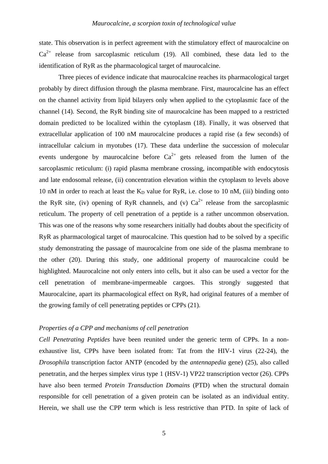state. This observation is in perfect agreement with the stimulatory effect of maurocalcine on  $Ca^{2+}$  release from sarcoplasmic reticulum (19). All combined, these data led to the identification of RyR as the pharmacological target of maurocalcine.

 Three pieces of evidence indicate that maurocalcine reaches its pharmacological target probably by direct diffusion through the plasma membrane. First, maurocalcine has an effect on the channel activity from lipid bilayers only when applied to the cytoplasmic face of the channel (14). Second, the RyR binding site of maurocalcine has been mapped to a restricted domain predicted to be localized within the cytoplasm (18). Finally, it was observed that extracellular application of 100 nM maurocalcine produces a rapid rise (a few seconds) of intracellular calcium in myotubes (17). These data underline the succession of molecular events undergone by maurocalcine before  $Ca^{2+}$  gets released from the lumen of the sarcoplasmic reticulum: (i) rapid plasma membrane crossing, incompatible with endocytosis and late endosomal release, (ii) concentration elevation within the cytoplasm to levels above 10 nM in order to reach at least the  $K_D$  value for RyR, i.e. close to 10 nM, (iii) binding onto the RyR site, (iv) opening of RyR channels, and (v)  $Ca^{2+}$  release from the sarcoplasmic reticulum. The property of cell penetration of a peptide is a rather uncommon observation. This was one of the reasons why some researchers initially had doubts about the specificity of RyR as pharmacological target of maurocalcine. This question had to be solved by a specific study demonstrating the passage of maurocalcine from one side of the plasma membrane to the other (20). During this study, one additional property of maurocalcine could be highlighted. Maurocalcine not only enters into cells, but it also can be used a vector for the cell penetration of membrane-impermeable cargoes. This strongly suggested that Maurocalcine, apart its pharmacological effect on RyR, had original features of a member of the growing family of cell penetrating peptides or CPPs (21).

#### *Properties of a CPP and mechanisms of cell penetration*

*Cell Penetrating Peptides* have been reunited under the generic term of CPPs. In a nonexhaustive list, CPPs have been isolated from: Tat from the HIV-1 virus (22-24), the *Drosophila* transcription factor ANTP (encoded by the *antennapedia* gene) (25), also called penetratin, and the herpes simplex virus type 1 (HSV-1) VP22 transcription vector (26). CPPs have also been termed *Protein Transduction Domains* (PTD) when the structural domain responsible for cell penetration of a given protein can be isolated as an individual entity. Herein, we shall use the CPP term which is less restrictive than PTD. In spite of lack of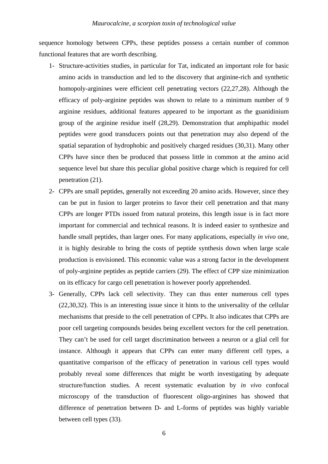sequence homology between CPPs, these peptides possess a certain number of common functional features that are worth describing.

- 1- Structure-activities studies, in particular for Tat, indicated an important role for basic amino acids in transduction and led to the discovery that arginine-rich and synthetic homopoly-arginines were efficient cell penetrating vectors (22,27,28). Although the efficacy of poly-arginine peptides was shown to relate to a minimum number of 9 arginine residues, additional features appeared to be important as the guanidinium group of the arginine residue itself (28,29). Demonstration that amphipathic model peptides were good transducers points out that penetration may also depend of the spatial separation of hydrophobic and positively charged residues (30,31). Many other CPPs have since then be produced that possess little in common at the amino acid sequence level but share this peculiar global positive charge which is required for cell penetration (21).
- 2- CPPs are small peptides, generally not exceeding 20 amino acids. However, since they can be put in fusion to larger proteins to favor their cell penetration and that many CPPs are longer PTDs issued from natural proteins, this length issue is in fact more important for commercial and technical reasons. It is indeed easier to synthesize and handle small peptides, than larger ones. For many applications, especially *in vivo* one, it is highly desirable to bring the costs of peptide synthesis down when large scale production is envisioned. This economic value was a strong factor in the development of poly-arginine peptides as peptide carriers (29). The effect of CPP size minimization on its efficacy for cargo cell penetration is however poorly apprehended.
- 3- Generally, CPPs lack cell selectivity. They can thus enter numerous cell types (22,30,32). This is an interesting issue since it hints to the universality of the cellular mechanisms that preside to the cell penetration of CPPs. It also indicates that CPPs are poor cell targeting compounds besides being excellent vectors for the cell penetration. They can't be used for cell target discrimination between a neuron or a glial cell for instance. Although it appears that CPPs can enter many different cell types, a quantitative comparison of the efficacy of penetration in various cell types would probably reveal some differences that might be worth investigating by adequate structure/function studies. A recent systematic evaluation by *in vivo* confocal microscopy of the transduction of fluorescent oligo-arginines has showed that difference of penetration between D- and L-forms of peptides was highly variable between cell types (33).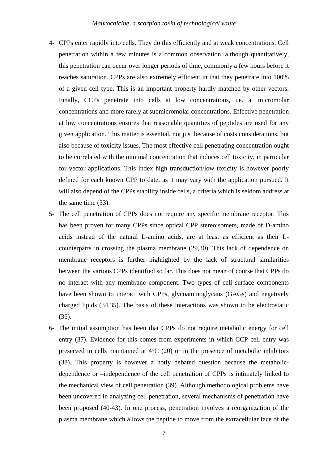- 4- CPPs enter rapidly into cells. They do this efficiently and at weak concentrations. Cell penetration within a few minutes is a common observation, although quantitatively, this penetration can occur over longer periods of time, commonly a few hours before it reaches saturation. CPPs are also extremely efficient in that they penetrate into 100% of a given cell type. This is an important property hardly matched by other vectors. Finally, CCPs penetrate into cells at low concentrations, i.e. at micromolar concentrations and more rarely at submicromolar concentrations. Effective penetration at low concentrations ensures that reasonable quantities of peptides are used for any given application. This matter is essential, not just because of costs considerations, but also because of toxicity issues. The most effective cell penetrating concentration ought to be correlated with the minimal concentration that induces cell toxicity, in particular for vector applications. This index high transduction/low toxicity is however poorly defined for each known CPP to date, as it may vary with the application pursued. It will also depend of the CPPs stability inside cells, a criteria which is seldom address at the same time (33).
- 5- The cell penetration of CPPs does not require any specific membrane receptor. This has been proven for many CPPs since optical CPP stereoisomers, made of D-amino acids instead of the natural L-amino acids, are at least as efficient as their Lcounterparts in crossing the plasma membrane (29,30). This lack of dependence on membrane receptors is further highlighted by the lack of structural similarities between the various CPPs identified so far. This does not mean of course that CPPs do no interact with any membrane component. Two types of cell surface components have been shown to interact with CPPs, glycoaminoglycans (GAGs) and negatively charged lipids (34,35). The basis of these interactions was shown to be electrostatic (36).
- 6- The initial assumption has been that CPPs do not require metabolic energy for cell entry (37). Evidence for this comes from experiments in which CCP cell entry was preserved in cells maintained at 4°C (20) or in the presence of metabolic inhibitors (38). This property is however a hotly debated question because the metabolicdependence or –independence of the cell penetration of CPPs is intimately linked to the mechanical view of cell penetration (39). Although methodological problems have been uncovered in analyzing cell penetration, several mechanisms of penetration have been proposed (40-43). In one process, penetration involves a reorganization of the plasma membrane which allows the peptide to move from the extracellular face of the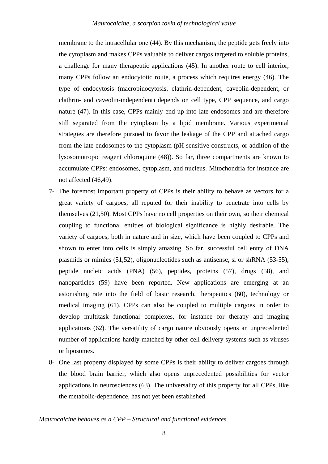membrane to the intracellular one (44). By this mechanism, the peptide gets freely into the cytoplasm and makes CPPs valuable to deliver cargos targeted to soluble proteins, a challenge for many therapeutic applications (45). In another route to cell interior, many CPPs follow an endocytotic route, a process which requires energy (46). The type of endocytosis (macropinocytosis, clathrin-dependent, caveolin-dependent, or clathrin- and caveolin-independent) depends on cell type, CPP sequence, and cargo nature (47). In this case, CPPs mainly end up into late endosomes and are therefore still separated from the cytoplasm by a lipid membrane. Various experimental strategies are therefore pursued to favor the leakage of the CPP and attached cargo from the late endosomes to the cytoplasm (pH sensitive constructs, or addition of the lysosomotropic reagent chloroquine (48)). So far, three compartments are known to accumulate CPPs: endosomes, cytoplasm, and nucleus. Mitochondria for instance are not affected (46,49).

- 7- The foremost important property of CPPs is their ability to behave as vectors for a great variety of cargoes, all reputed for their inability to penetrate into cells by themselves (21,50). Most CPPs have no cell properties on their own, so their chemical coupling to functional entities of biological significance is highly desirable. The variety of cargoes, both in nature and in size, which have been coupled to CPPs and shown to enter into cells is simply amazing. So far, successful cell entry of DNA plasmids or mimics (51,52), oligonucleotides such as antisense, si or shRNA (53-55), peptide nucleic acids (PNA) (56), peptides, proteins (57), drugs (58), and nanoparticles (59) have been reported. New applications are emerging at an astonishing rate into the field of basic research, therapeutics (60), technology or medical imaging (61). CPPs can also be coupled to multiple cargoes in order to develop multitask functional complexes, for instance for therapy and imaging applications (62). The versatility of cargo nature obviously opens an unprecedented number of applications hardly matched by other cell delivery systems such as viruses or liposomes.
- 8- One last property displayed by some CPPs is their ability to deliver cargoes through the blood brain barrier, which also opens unprecedented possibilities for vector applications in neurosciences (63). The universality of this property for all CPPs, like the metabolic-dependence, has not yet been established.

*Maurocalcine behaves as a CPP – Structural and functional evidences*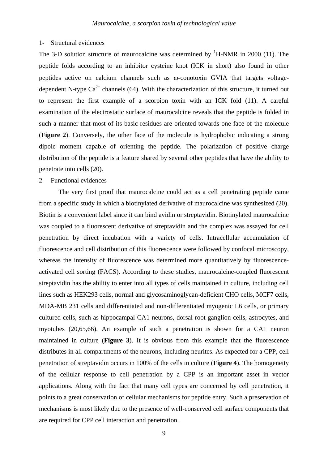#### 1- Structural evidences

The 3-D solution structure of maurocalcine was determined by  ${}^{1}$ H-NMR in 2000 (11). The peptide folds according to an inhibitor cysteine knot (ICK in short) also found in other peptides active on calcium channels such as ω-conotoxin GVIA that targets voltagedependent N-type  $Ca^{2+}$  channels (64). With the characterization of this structure, it turned out to represent the first example of a scorpion toxin with an ICK fold (11). A careful examination of the electrostatic surface of maurocalcine reveals that the peptide is folded in such a manner that most of its basic residues are oriented towards one face of the molecule (**Figure 2**). Conversely, the other face of the molecule is hydrophobic indicating a strong dipole moment capable of orienting the peptide. The polarization of positive charge distribution of the peptide is a feature shared by several other peptides that have the ability to penetrate into cells (20).

#### 2- Functional evidences

The very first proof that maurocalcine could act as a cell penetrating peptide came from a specific study in which a biotinylated derivative of maurocalcine was synthesized (20). Biotin is a convenient label since it can bind avidin or streptavidin. Biotinylated maurocalcine was coupled to a fluorescent derivative of streptavidin and the complex was assayed for cell penetration by direct incubation with a variety of cells. Intracellular accumulation of fluorescence and cell distribution of this fluorescence were followed by confocal microscopy, whereas the intensity of fluorescence was determined more quantitatively by fluorescenceactivated cell sorting (FACS). According to these studies, maurocalcine-coupled fluorescent streptavidin has the ability to enter into all types of cells maintained in culture, including cell lines such as HEK293 cells, normal and glycosaminoglycan-deficient CHO cells, MCF7 cells, MDA-MB 231 cells and differentiated and non-differentiated myogenic L6 cells, or primary cultured cells, such as hippocampal CA1 neurons, dorsal root ganglion cells, astrocytes, and myotubes (20,65,66). An example of such a penetration is shown for a CA1 neuron maintained in culture (**Figure 3**). It is obvious from this example that the fluorescence distributes in all compartments of the neurons, including neurites. As expected for a CPP, cell penetration of streptavidin occurs in 100% of the cells in culture (**Figure 4**). The homogeneity of the cellular response to cell penetration by a CPP is an important asset in vector applications. Along with the fact that many cell types are concerned by cell penetration, it points to a great conservation of cellular mechanisms for peptide entry. Such a preservation of mechanisms is most likely due to the presence of well-conserved cell surface components that are required for CPP cell interaction and penetration.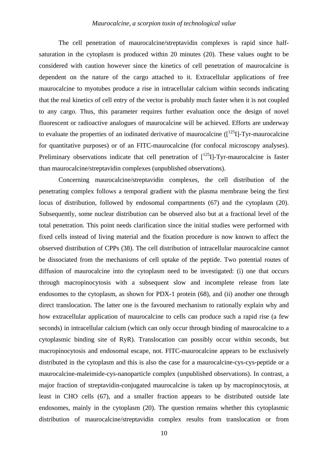The cell penetration of maurocalcine/streptavidin complexes is rapid since halfsaturation in the cytoplasm is produced within 20 minutes (20). These values ought to be considered with caution however since the kinetics of cell penetration of maurocalcine is dependent on the nature of the cargo attached to it. Extracellular applications of free maurocalcine to myotubes produce a rise in intracellular calcium within seconds indicating that the real kinetics of cell entry of the vector is probably much faster when it is not coupled to any cargo. Thus, this parameter requires further evaluation once the design of novel fluorescent or radioactive analogues of maurocalcine will be achieved. Efforts are underway to evaluate the properties of an iodinated derivative of maurocalcine  $(I^{125}I]-Tyr$ -maurocalcine for quantitative purposes) or of an FITC-maurocalcine (for confocal microscopy analyses). Preliminary observations indicate that cell penetration of  $\int_0^{125} I$ ]-Tyr-maurocalcine is faster than maurocalcine/streptavidin complexes (unpublished observations).

Concerning maurocalcine/streptavidin complexes, the cell distribution of the penetrating complex follows a temporal gradient with the plasma membrane being the first locus of distribution, followed by endosomal compartments (67) and the cytoplasm (20). Subsequently, some nuclear distribution can be observed also but at a fractional level of the total penetration. This point needs clarification since the initial studies were performed with fixed cells instead of living material and the fixation procedure is now known to affect the observed distribution of CPPs (38). The cell distribution of intracellular maurocalcine cannot be dissociated from the mechanisms of cell uptake of the peptide. Two potential routes of diffusion of maurocalcine into the cytoplasm need to be investigated: (i) one that occurs through macropinocytosis with a subsequent slow and incomplete release from late endosomes to the cytoplasm, as shown for PDX-1 protein (68), and (ii) another one through direct translocation. The latter one is the favoured mechanism to rationally explain why and how extracellular application of maurocalcine to cells can produce such a rapid rise (a few seconds) in intracellular calcium (which can only occur through binding of maurocalcine to a cytoplasmic binding site of RyR). Translocation can possibly occur within seconds, but macropinocytosis and endosomal escape, not. FITC-maurocalcine appears to be exclusively distributed in the cytoplasm and this is also the case for a maurocalcine-cys-cys-peptide or a maurocalcine-maleimide-cys-nanoparticle complex (unpublished observations). In contrast, a major fraction of streptavidin-conjugated maurocalcine is taken up by macropinocytosis, at least in CHO cells (67), and a smaller fraction appears to be distributed outside late endosomes, mainly in the cytoplasm (20). The question remains whether this cytoplasmic distribution of maurocalcine/streptavidin complex results from translocation or from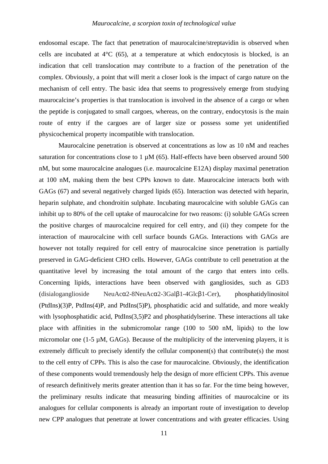endosomal escape. The fact that penetration of maurocalcine/streptavidin is observed when cells are incubated at  $4^{\circ}C$  (65), at a temperature at which endocytosis is blocked, is an indication that cell translocation may contribute to a fraction of the penetration of the complex. Obviously, a point that will merit a closer look is the impact of cargo nature on the mechanism of cell entry. The basic idea that seems to progressively emerge from studying maurocalcine's properties is that translocation is involved in the absence of a cargo or when the peptide is conjugated to small cargoes, whereas, on the contrary, endocytosis is the main route of entry if the cargoes are of larger size or possess some yet unidentified physicochemical property incompatible with translocation.

Maurocalcine penetration is observed at concentrations as low as 10 nM and reaches saturation for concentrations close to  $1 \mu M$  (65). Half-effects have been observed around 500 nM, but some maurocalcine analogues (i.e. maurocalcine E12A) display maximal penetration at 100 nM, making them the best CPPs known to date. Maurocalcine interacts both with GAGs (67) and several negatively charged lipids (65). Interaction was detected with heparin, heparin sulphate, and chondroitin sulphate. Incubating maurocalcine with soluble GAGs can inhibit up to 80% of the cell uptake of maurocalcine for two reasons: (i) soluble GAGs screen the positive charges of maurocalcine required for cell entry, and (ii) they compete for the interaction of maurocalcine with cell surface bounds GAGs. Interactions with GAGs are however not totally required for cell entry of maurocalcine since penetration is partially preserved in GAG-deficient CHO cells. However, GAGs contribute to cell penetration at the quantitative level by increasing the total amount of the cargo that enters into cells. Concerning lipids, interactions have been observed with gangliosides, such as GD3 (disialoganglioside NeuAcα2-8NeuAcα2-3Galβ1-4Glcβ1-Cer), phosphatidylinositol (PtdIns)(3)P, PtdIns(4)P, and PtdIns(5)P), phosphatidic acid and sulfatide, and more weakly with lysophosphatidic acid, PtdIns(3,5)P2 and phosphatidylserine. These interactions all take place with affinities in the submicromolar range (100 to 500 nM, lipids) to the low micromolar one (1-5  $\mu$ M, GAGs). Because of the multiplicity of the intervening players, it is extremely difficult to precisely identify the cellular component(s) that contribute(s) the most to the cell entry of CPPs. This is also the case for maurocalcine. Obviously, the identification of these components would tremendously help the design of more efficient CPPs. This avenue of research definitively merits greater attention than it has so far. For the time being however, the preliminary results indicate that measuring binding affinities of maurocalcine or its analogues for cellular components is already an important route of investigation to develop new CPP analogues that penetrate at lower concentrations and with greater efficacies. Using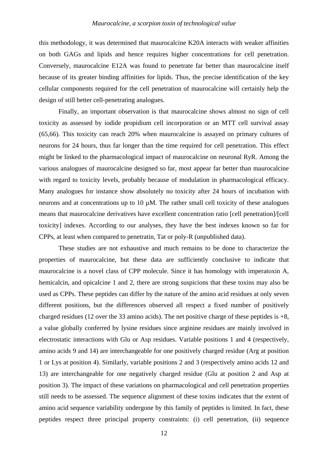#### *Maurocalcine, a scorpion toxin of technological value*

this methodology, it was determined that maurocalcine K20A interacts with weaker affinities on both GAGs and lipids and hence requires higher concentrations for cell penetration. Conversely, maurocalcine E12A was found to penetrate far better than maurocalcine itself because of its greater binding affinities for lipids. Thus, the precise identification of the key cellular components required for the cell penetration of maurocalcine will certainly help the design of still better cell-penetrating analogues.

Finally, an important observation is that maurocalcine shows almost no sign of cell toxicity as assessed by iodide propidium cell incorporation or an MTT cell survival assay (65,66). This toxicity can reach 20% when maurocalcine is assayed on primary cultures of neurons for 24 hours, thus far longer than the time required for cell penetration. This effect might be linked to the pharmacological impact of maurocalcine on neuronal RyR. Among the various analogues of maurocalcine designed so far, most appear far better than maurocalcine with regard to toxicity levels, probably because of modulation in pharmacological efficacy. Many analogues for instance show absolutely no toxicity after 24 hours of incubation with neurons and at concentrations up to  $10 \mu M$ . The rather small cell toxicity of these analogues means that maurocalcine derivatives have excellent concentration ratio [cell penetration]/[cell toxicity] indexes. According to our analyses, they have the best indexes known so far for CPPs, at least when compared to penetratin, Tat or poly-R (unpublished data).

These studies are not exhaustive and much remains to be done to characterize the properties of maurocalcine, but these data are sufficiently conclusive to indicate that maurocalcine is a novel class of CPP molecule. Since it has homology with imperatoxin A, hemicalcin, and opicalcine 1 and 2, there are strong suspicions that these toxins may also be used as CPPs. These peptides can differ by the nature of the amino acid residues at only seven different positions, but the differences observed all respect a fixed number of positively charged residues (12 over the 33 amino acids). The net positive charge of these peptides is  $+8$ , a value globally conferred by lysine residues since arginine residues are mainly involved in electrostatic interactions with Glu or Asp residues. Variable positions 1 and 4 (respectively, amino acids 9 and 14) are interchangeable for one positively charged residue (Arg at position 1 or Lys at position 4). Similarly, variable positions 2 and 3 (respectively amino acids 12 and 13) are interchangeable for one negatively charged residue (Glu at position 2 and Asp at position 3). The impact of these variations on pharmacological and cell penetration properties still needs to be assessed. The sequence alignment of these toxins indicates that the extent of amino acid sequence variability undergone by this family of peptides is limited. In fact, these peptides respect three principal property constraints: (i) cell penetration, (ii) sequence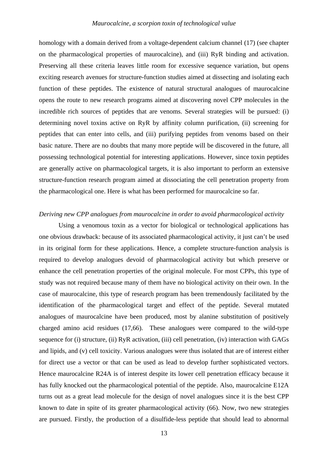homology with a domain derived from a voltage-dependent calcium channel (17) (see chapter on the pharmacological properties of maurocalcine), and (iii) RyR binding and activation. Preserving all these criteria leaves little room for excessive sequence variation, but opens exciting research avenues for structure-function studies aimed at dissecting and isolating each function of these peptides. The existence of natural structural analogues of maurocalcine opens the route to new research programs aimed at discovering novel CPP molecules in the incredible rich sources of peptides that are venoms. Several strategies will be pursued: (i) determining novel toxins active on RyR by affinity column purification, (ii) screening for peptides that can enter into cells, and (iii) purifying peptides from venoms based on their basic nature. There are no doubts that many more peptide will be discovered in the future, all possessing technological potential for interesting applications. However, since toxin peptides are generally active on pharmacological targets, it is also important to perform an extensive structure-function research program aimed at dissociating the cell penetration property from the pharmacological one. Here is what has been performed for maurocalcine so far.

# *Deriving new CPP analogues from maurocalcine in order to avoid pharmacological activity*

Using a venomous toxin as a vector for biological or technological applications has one obvious drawback: because of its associated pharmacological activity, it just can't be used in its original form for these applications. Hence, a complete structure-function analysis is required to develop analogues devoid of pharmacological activity but which preserve or enhance the cell penetration properties of the original molecule. For most CPPs, this type of study was not required because many of them have no biological activity on their own. In the case of maurocalcine, this type of research program has been tremendously facilitated by the identification of the pharmacological target and effect of the peptide. Several mutated analogues of maurocalcine have been produced, most by alanine substitution of positively charged amino acid residues (17,66). These analogues were compared to the wild-type sequence for (i) structure, (ii) RyR activation, (iii) cell penetration, (iv) interaction with GAGs and lipids, and (v) cell toxicity. Various analogues were thus isolated that are of interest either for direct use a vector or that can be used as lead to develop further sophisticated vectors. Hence maurocalcine R24A is of interest despite its lower cell penetration efficacy because it has fully knocked out the pharmacological potential of the peptide. Also, maurocalcine E12A turns out as a great lead molecule for the design of novel analogues since it is the best CPP known to date in spite of its greater pharmacological activity (66). Now, two new strategies are pursued. Firstly, the production of a disulfide-less peptide that should lead to abnormal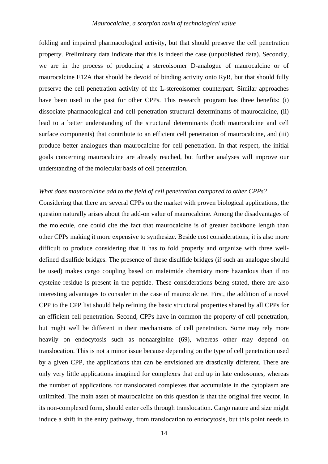#### *Maurocalcine, a scorpion toxin of technological value*

folding and impaired pharmacological activity, but that should preserve the cell penetration property. Preliminary data indicate that this is indeed the case (unpublished data). Secondly, we are in the process of producing a stereoisomer D-analogue of maurocalcine or of maurocalcine E12A that should be devoid of binding activity onto RyR, but that should fully preserve the cell penetration activity of the L-stereoisomer counterpart. Similar approaches have been used in the past for other CPPs. This research program has three benefits: (i) dissociate pharmacological and cell penetration structural determinants of maurocalcine, (ii) lead to a better understanding of the structural determinants (both maurocalcine and cell surface components) that contribute to an efficient cell penetration of maurocalcine, and (iii) produce better analogues than maurocalcine for cell penetration. In that respect, the initial goals concerning maurocalcine are already reached, but further analyses will improve our understanding of the molecular basis of cell penetration.

# *What does maurocalcine add to the field of cell penetration compared to other CPPs?*

Considering that there are several CPPs on the market with proven biological applications, the question naturally arises about the add-on value of maurocalcine. Among the disadvantages of the molecule, one could cite the fact that maurocalcine is of greater backbone length than other CPPs making it more expensive to synthesize. Beside cost considerations, it is also more difficult to produce considering that it has to fold properly and organize with three welldefined disulfide bridges. The presence of these disulfide bridges (if such an analogue should be used) makes cargo coupling based on maleimide chemistry more hazardous than if no cysteine residue is present in the peptide. These considerations being stated, there are also interesting advantages to consider in the case of maurocalcine. First, the addition of a novel CPP to the CPP list should help refining the basic structural properties shared by all CPPs for an efficient cell penetration. Second, CPPs have in common the property of cell penetration, but might well be different in their mechanisms of cell penetration. Some may rely more heavily on endocytosis such as nonaarginine (69), whereas other may depend on translocation. This is not a minor issue because depending on the type of cell penetration used by a given CPP, the applications that can be envisioned are drastically different. There are only very little applications imagined for complexes that end up in late endosomes, whereas the number of applications for translocated complexes that accumulate in the cytoplasm are unlimited. The main asset of maurocalcine on this question is that the original free vector, in its non-complexed form, should enter cells through translocation. Cargo nature and size might induce a shift in the entry pathway, from translocation to endocytosis, but this point needs to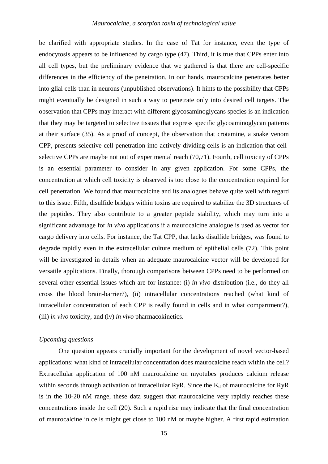be clarified with appropriate studies. In the case of Tat for instance, even the type of endocytosis appears to be influenced by cargo type (47). Third, it is true that CPPs enter into all cell types, but the preliminary evidence that we gathered is that there are cell-specific differences in the efficiency of the penetration. In our hands, maurocalcine penetrates better into glial cells than in neurons (unpublished observations). It hints to the possibility that CPPs might eventually be designed in such a way to penetrate only into desired cell targets. The observation that CPPs may interact with different glycosaminoglycans species is an indication that they may be targeted to selective tissues that express specific glycoaminoglycan patterns at their surface (35). As a proof of concept, the observation that crotamine, a snake venom CPP, presents selective cell penetration into actively dividing cells is an indication that cellselective CPPs are maybe not out of experimental reach (70,71). Fourth, cell toxicity of CPPs is an essential parameter to consider in any given application. For some CPPs, the concentration at which cell toxicity is observed is too close to the concentration required for cell penetration. We found that maurocalcine and its analogues behave quite well with regard to this issue. Fifth, disulfide bridges within toxins are required to stabilize the 3D structures of the peptides. They also contribute to a greater peptide stability, which may turn into a significant advantage for *in vivo* applications if a maurocalcine analogue is used as vector for cargo delivery into cells. For instance, the Tat CPP, that lacks disulfide bridges, was found to degrade rapidly even in the extracellular culture medium of epithelial cells (72). This point will be investigated in details when an adequate maurocalcine vector will be developed for versatile applications. Finally, thorough comparisons between CPPs need to be performed on several other essential issues which are for instance: (i) *in vivo* distribution (i.e., do they all cross the blood brain-barrier?), (ii) intracellular concentrations reached (what kind of intracellular concentration of each CPP is really found in cells and in what compartment?), (iii) *in vivo* toxicity, and (iv) *in vivo* pharmacokinetics.

# *Upcoming questions*

One question appears crucially important for the development of novel vector-based applications: what kind of intracellular concentration does maurocalcine reach within the cell? Extracellular application of 100 nM maurocalcine on myotubes produces calcium release within seconds through activation of intracellular RyR. Since the  $K_d$  of maurocalcine for RyR is in the 10-20 nM range, these data suggest that maurocalcine very rapidly reaches these concentrations inside the cell (20). Such a rapid rise may indicate that the final concentration of maurocalcine in cells might get close to 100 nM or maybe higher. A first rapid estimation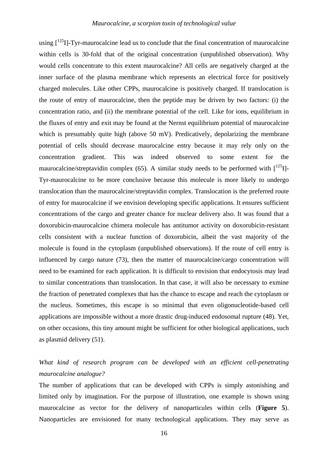#### *Maurocalcine, a scorpion toxin of technological value*

using  $\int_1^{125}$ I]-Tyr-maurocalcine lead us to conclude that the final concentration of maurocalcine within cells is 30-fold that of the original concentration (unpublished observation). Why would cells concentrate to this extent maurocalcine? All cells are negatively charged at the inner surface of the plasma membrane which represents an electrical force for positively charged molecules. Like other CPPs, maurocalcine is positively charged. If translocation is the route of entry of maurocalcine, then the peptide may be driven by two factors: (i) the concentration ratio, and (ii) the membrane potential of the cell. Like for ions, equilibrium in the fluxes of entry and exit may be found at the Nernst equilibrium potential of maurocalcine which is presumably quite high (above 50 mV). Predicatively, depolarizing the membrane potential of cells should decrease maurocalcine entry because it may rely only on the concentration gradient. This was indeed observed to some extent for the maurocalcine/streptavidin complex (65). A similar study needs to be performed with  $\left[1^{25}I\right]$ -Tyr-maurocalcine to be more conclusive because this molecule is more likely to undergo translocation than the maurocalcine/streptavidin complex. Translocation is the preferred route of entry for maurocalcine if we envision developing specific applications. It ensures sufficient concentrations of the cargo and greater chance for nuclear delivery also. It was found that a doxorubicin-maurocalcine chimera molecule has antitumor activity on doxorubicin-resistant cells consistent with a nuclear function of doxorubicin, albeit the vast majority of the molecule is found in the cytoplasm (unpublished observations). If the route of cell entry is influenced by cargo nature (73), then the matter of maurocalcine/cargo concentration will need to be examined for each application. It is difficult to envision that endocytosis may lead to similar concentrations than translocation. In that case, it will also be necessary to exmine the fraction of penetrated complexes that has the chance to escape and reach the cytoplasm or the nucleus. Sometimes, this escape is so minimal that even oligonucleotide-based cell applications are impossible without a more drastic drug-induced endosomal rupture (48). Yet, on other occasions, this tiny amount might be sufficient for other biological applications, such as plasmid delivery (51).

# *What kind of research program can be developed with an efficient cell-penetrating maurocalcine analogue?*

The number of applications that can be developed with CPPs is simply astonishing and limited only by imagination. For the purpose of illustration, one example is shown using maurocalcine as vector for the delivery of nanoparticules within cells (**Figure 5**). Nanoparticles are envisioned for many technological applications. They may serve as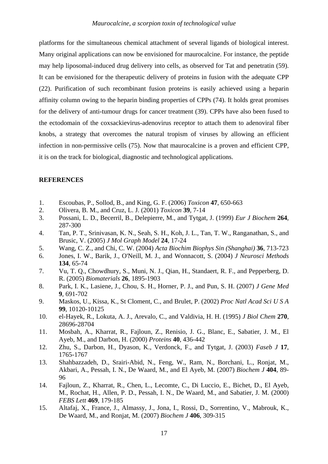platforms for the simultaneous chemical attachment of several ligands of biological interest. Many original applications can now be envisioned for maurocalcine. For instance, the peptide may help liposomal-induced drug delivery into cells, as observed for Tat and penetratin (59). It can be envisioned for the therapeutic delivery of proteins in fusion with the adequate CPP (22). Purification of such recombinant fusion proteins is easily achieved using a heparin affinity column owing to the heparin binding properties of CPPs (74). It holds great promises for the delivery of anti-tumour drugs for cancer treatment (39). CPPs have also been fused to the ectodomain of the coxsackievirus-adenovirus receptor to attach them to adenoviral fiber knobs, a strategy that overcomes the natural tropism of viruses by allowing an efficient infection in non-permissive cells (75). Now that maurocalcine is a proven and efficient CPP, it is on the track for biological, diagnostic and technological applications.

#### **REFERENCES**

- 1. Escoubas, P., Sollod, B., and King, G. F. (2006) *Toxicon* **47**, 650-663
- 2. Olivera, B. M., and Cruz, L. J. (2001) *Toxicon* **39**, 7-14
- 3. Possani, L. D., Becerril, B., Delepierre, M., and Tytgat, J. (1999) *Eur J Biochem* **264**, 287-300
- 4. Tan, P. T., Srinivasan, K. N., Seah, S. H., Koh, J. L., Tan, T. W., Ranganathan, S., and Brusic, V. (2005) *J Mol Graph Model* **24**, 17-24
- 5. Wang, C. Z., and Chi, C. W. (2004) *Acta Biochim Biophys Sin (Shanghai)* **36**, 713-723
- 6. Jones, I. W., Barik, J., O'Neill, M. J., and Wonnacott, S. (2004) *J Neurosci Methods* **134**, 65-74
- 7. Vu, T. Q., Chowdhury, S., Muni, N. J., Qian, H., Standaert, R. F., and Pepperberg, D. R. (2005) *Biomaterials* **26**, 1895-1903
- 8. Park, I. K., Lasiene, J., Chou, S. H., Horner, P. J., and Pun, S. H. (2007) *J Gene Med* **9**, 691-702
- 9. Maskos, U., Kissa, K., St Cloment, C., and Brulet, P. (2002) *Proc Natl Acad Sci U S A* **99**, 10120-10125
- 10. el-Hayek, R., Lokuta, A. J., Arevalo, C., and Valdivia, H. H. (1995) *J Biol Chem* **270**, 28696-28704
- 11. Mosbah, A., Kharrat, R., Fajloun, Z., Renisio, J. G., Blanc, E., Sabatier, J. M., El Ayeb, M., and Darbon, H. (2000) *Proteins* **40**, 436-442
- 12. Zhu, S., Darbon, H., Dyason, K., Verdonck, F., and Tytgat, J. (2003) *Faseb J* **17**, 1765-1767
- 13. Shahbazzadeh, D., Srairi-Abid, N., Feng, W., Ram, N., Borchani, L., Ronjat, M., Akbari, A., Pessah, I. N., De Waard, M., and El Ayeb, M. (2007) *Biochem J* **404**, 89- 96
- 14. Fajloun, Z., Kharrat, R., Chen, L., Lecomte, C., Di Luccio, E., Bichet, D., El Ayeb, M., Rochat, H., Allen, P. D., Pessah, I. N., De Waard, M., and Sabatier, J. M. (2000) *FEBS Lett* **469**, 179-185
- 15. Altafaj, X., France, J., Almassy, J., Jona, I., Rossi, D., Sorrentino, V., Mabrouk, K., De Waard, M., and Ronjat, M. (2007) *Biochem J* **406**, 309-315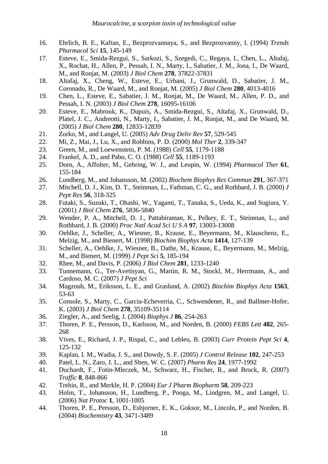- 16. Ehrlich, B. E., Kaftan, E., Bezprozvannaya, S., and Bezprozvanny, I. (1994) *Trends Pharmacol Sci* **15**, 145-149
- 17. Esteve, E., Smida-Rezgui, S., Sarkozi, S., Szegedi, C., Regaya, I., Chen, L., Altafaj, X., Rochat, H., Allen, P., Pessah, I. N., Marty, I., Sabatier, J. M., Jona, I., De Waard, M., and Ronjat, M. (2003) *J Biol Chem* **278**, 37822-37831
- 18. Altafaj, X., Cheng, W., Esteve, E., Urbani, J., Grunwald, D., Sabatier, J. M., Coronado, R., De Waard, M., and Ronjat, M. (2005) *J Biol Chem* **280**, 4013-4016
- 19. Chen, L., Esteve, E., Sabatier, J. M., Ronjat, M., De Waard, M., Allen, P. D., and Pessah, I. N. (2003) *J Biol Chem* **278**, 16095-16106
- 20. Esteve, E., Mabrouk, K., Dupuis, A., Smida-Rezgui, S., Altafaj, X., Grunwald, D., Platel, J. C., Andreotti, N., Marty, I., Sabatier, J. M., Ronjat, M., and De Waard, M. (2005) *J Biol Chem* **280**, 12833-12839
- 21. Zorko, M., and Langel, U. (2005) *Adv Drug Deliv Rev* **57**, 529-545
- 22. Mi, Z., Mai, J., Lu, X., and Robbins, P. D. (2000) *Mol Ther* **2**, 339-347
- 23. Green, M., and Loewenstein, P. M. (1988) *Cell* **55**, 1179-1188
- 24. Frankel, A. D., and Pabo, C. O. (1988) *Cell* **55**, 1189-1193
- 25. Dorn, A., Affolter, M., Gehring, W. J., and Leupin, W. (1994) *Pharmacol Ther* **61**, 155-184
- 26. Lundberg, M., and Johansson, M. (2002) *Biochem Biophys Res Commun* **291**, 367-371
- 27. Mitchell, D. J., Kim, D. T., Steinman, L., Fathman, C. G., and Rothbard, J. B. (2000) *J Pept Res* **56**, 318-325
- 28. Futaki, S., Suzuki, T., Ohashi, W., Yagami, T., Tanaka, S., Ueda, K., and Sugiura, Y. (2001) *J Biol Chem* **276**, 5836-5840
- 29. Wender, P. A., Mitchell, D. J., Pattabiraman, K., Pelkey, E. T., Steinman, L., and Rothbard, J. B. (2000) *Proc Natl Acad Sci U S A* **97**, 13003-13008
- 30. Oehlke, J., Scheller, A., Wiesner, B., Krause, E., Beyermann, M., Klauschenz, E., Melzig, M., and Bienert, M. (1998) *Biochim Biophys Acta* **1414**, 127-139
- 31. Scheller, A., Oehlke, J., Wiesner, B., Dathe, M., Krause, E., Beyermann, M., Melzig, M., and Bienert, M. (1999) *J Pept Sci* **5**, 185-194
- 32. Rhee, M., and Davis, P. (2006) *J Biol Chem* **281**, 1233-1240
- 33. Tunnemann, G., Ter-Avetisyan, G., Martin, R. M., Stockl, M., Herrmann, A., and Cardoso, M. C. (2007) *J Pept Sci*
- 34. Magzoub, M., Eriksson, L. E., and Graslund, A. (2002) *Biochim Biophys Acta* **1563**, 53-63
- 35. Console, S., Marty, C., Garcia-Echeverria, C., Schwendener, R., and Ballmer-Hofer, K. (2003) *J Biol Chem* **278**, 35109-35114
- 36. Ziegler, A., and Seelig, J. (2004) *Biophys J* **86**, 254-263
- 37. Thoren, P. E., Persson, D., Karlsson, M., and Norden, B. (2000) *FEBS Lett* **482**, 265- 268
- 38. Vives, E., Richard, J. P., Rispal, C., and Lebleu, B. (2003) *Curr Protein Pept Sci* **4**, 125-132
- 39. Kaplan, I. M., Wadia, J. S., and Dowdy, S. F. (2005) *J Control Release* **102**, 247-253
- 40. Patel, L. N., Zaro, J. L., and Shen, W. C. (2007) *Pharm Res* **24**, 1977-1992
- 41. Duchardt, F., Fotin-Mleczek, M., Schwarz, H., Fischer, R., and Brock, R. (2007) *Traffic* **8**, 848-866
- 42. Trehin, R., and Merkle, H. P. (2004) *Eur J Pharm Biopharm* **58**, 209-223
- 43. Holm, T., Johansson, H., Lundberg, P., Pooga, M., Lindgren, M., and Langel, U. (2006) *Nat Protoc* **1**, 1001-1005
- 44. Thoren, P. E., Persson, D., Esbjorner, E. K., Goksor, M., Lincoln, P., and Norden, B. (2004) *Biochemistry* **43**, 3471-3489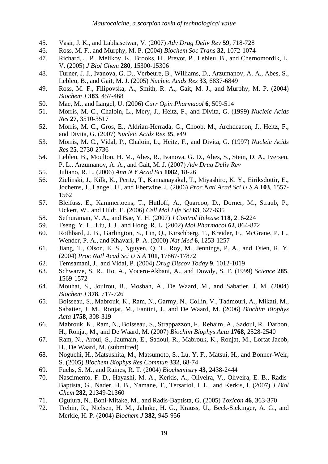- 45. Vasir, J. K., and Labhasetwar, V. (2007) *Adv Drug Deliv Rev* **59**, 718-728
- 46. Ross, M. F., and Murphy, M. P. (2004) *Biochem Soc Trans* **32**, 1072-1074
- 47. Richard, J. P., Melikov, K., Brooks, H., Prevot, P., Lebleu, B., and Chernomordik, L. V. (2005) *J Biol Chem* **280**, 15300-15306
- 48. Turner, J. J., Ivanova, G. D., Verbeure, B., Williams, D., Arzumanov, A. A., Abes, S., Lebleu, B., and Gait, M. J. (2005) *Nucleic Acids Res* **33**, 6837-6849
- 49. Ross, M. F., Filipovska, A., Smith, R. A., Gait, M. J., and Murphy, M. P. (2004) *Biochem J* **383**, 457-468
- 50. Mae, M., and Langel, U. (2006) *Curr Opin Pharmacol* **6**, 509-514
- 51. Morris, M. C., Chaloin, L., Mery, J., Heitz, F., and Divita, G. (1999) *Nucleic Acids Res* **27**, 3510-3517
- 52. Morris, M. C., Gros, E., Aldrian-Herrada, G., Choob, M., Archdeacon, J., Heitz, F., and Divita, G. (2007) *Nucleic Acids Res* **35**, e49
- 53. Morris, M. C., Vidal, P., Chaloin, L., Heitz, F., and Divita, G. (1997) *Nucleic Acids Res* **25**, 2730-2736
- 54. Lebleu, B., Moulton, H. M., Abes, R., Ivanova, G. D., Abes, S., Stein, D. A., Iversen, P. L., Arzumanov, A. A., and Gait, M. J. (2007) *Adv Drug Deliv Rev*
- 55. Juliano, R. L. (2006) *Ann N Y Acad Sci* **1082**, 18-26
- 56. Zielinski, J., Kilk, K., Peritz, T., Kannanayakal, T., Miyashiro, K. Y., Eiriksdottir, E., Jochems, J., Langel, U., and Eberwine, J. (2006) *Proc Natl Acad Sci U S A* **103**, 1557- 1562
- 57. Bleifuss, E., Kammertoens, T., Hutloff, A., Quarcoo, D., Dorner, M., Straub, P., Uckert, W., and Hildt, E. (2006) *Cell Mol Life Sci* **63**, 627-635
- 58. Sethuraman, V. A., and Bae, Y. H. (2007) *J Control Release* **118**, 216-224
- 59. Tseng, Y. L., Liu, J. J., and Hong, R. L. (2002) *Mol Pharmacol* **62**, 864-872
- 60. Rothbard, J. B., Garlington, S., Lin, Q., Kirschberg, T., Kreider, E., McGrane, P. L., Wender, P. A., and Khavari, P. A. (2000) *Nat Med* **6**, 1253-1257
- 61. Jiang, T., Olson, E. S., Nguyen, Q. T., Roy, M., Jennings, P. A., and Tsien, R. Y. (2004) *Proc Natl Acad Sci U S A* **101**, 17867-17872
- 62. Temsamani, J., and Vidal, P. (2004) *Drug Discov Today* **9**, 1012-1019
- 63. Schwarze, S. R., Ho, A., Vocero-Akbani, A., and Dowdy, S. F. (1999) *Science* **285**, 1569-1572
- 64. Mouhat, S., Jouirou, B., Mosbah, A., De Waard, M., and Sabatier, J. M. (2004) *Biochem J* **378**, 717-726
- 65. Boisseau, S., Mabrouk, K., Ram, N., Garmy, N., Collin, V., Tadmouri, A., Mikati, M., Sabatier, J. M., Ronjat, M., Fantini, J., and De Waard, M. (2006) *Biochim Biophys Acta* **1758**, 308-319
- 66. Mabrouk, K., Ram, N., Boisseau, S., Strappazzon, F., Rehaim, A., Sadoul, R., Darbon, H., Ronjat, M., and De Waard, M. (2007) *Biochim Biophys Acta* **1768**, 2528-2540
- 67. Ram, N., Aroui, S., Jaumain, E., Sadoul, R., Mabrouk, K., Ronjat, M., Lortat-Jacob, H., De Waard, M. (submitted)
- 68. Noguchi, H., Matsushita, M., Matsumoto, S., Lu, Y. F., Matsui, H., and Bonner-Weir, S. (2005) *Biochem Biophys Res Commun* **332**, 68-74
- 69. Fuchs, S. M., and Raines, R. T. (2004) *Biochemistry* **43**, 2438-2444
- 70. Nascimento, F. D., Hayashi, M. A., Kerkis, A., Oliveira, V., Oliveira, E. B., Radis-Baptista, G., Nader, H. B., Yamane, T., Tersariol, I. L., and Kerkis, I. (2007) *J Biol Chem* **282**, 21349-21360
- 71. Oguiura, N., Boni-Mitake, M., and Radis-Baptista, G. (2005) *Toxicon* **46**, 363-370
- 72. Trehin, R., Nielsen, H. M., Jahnke, H. G., Krauss, U., Beck-Sickinger, A. G., and Merkle, H. P. (2004) *Biochem J* **382**, 945-956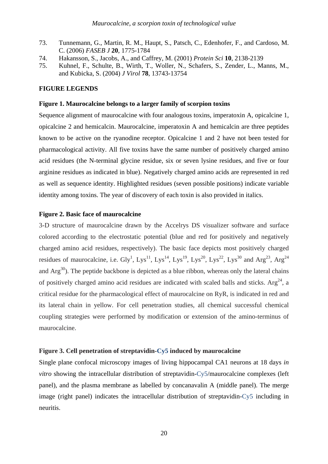- 73. Tunnemann, G., Martin, R. M., Haupt, S., Patsch, C., Edenhofer, F., and Cardoso, M. C. (2006) *FASEB J* **20**, 1775-1784
- 74. Hakansson, S., Jacobs, A., and Caffrey, M. (2001) *Protein Sci* **10**, 2138-2139
- 75. Kuhnel, F., Schulte, B., Wirth, T., Woller, N., Schafers, S., Zender, L., Manns, M., and Kubicka, S. (2004) *J Virol* **78**, 13743-13754

# **FIGURE LEGENDS**

#### **Figure 1. Maurocalcine belongs to a larger family of scorpion toxins**

Sequence alignment of maurocalcine with four analogous toxins, imperatoxin A, opicalcine 1, opicalcine 2 and hemicalcin. Maurocalcine, imperatoxin A and hemicalcin are three peptides known to be active on the ryanodine receptor. Opicalcine 1 and 2 have not been tested for pharmacological activity. All five toxins have the same number of positively charged amino acid residues (the N-terminal glycine residue, six or seven lysine residues, and five or four arginine residues as indicated in blue). Negatively charged amino acids are represented in red as well as sequence identity. Highlighted residues (seven possible positions) indicate variable identity among toxins. The year of discovery of each toxin is also provided in italics.

# **Figure 2. Basic face of maurocalcine**

3-D structure of maurocalcine drawn by the Accelrys DS visualizer software and surface colored according to the electrostatic potential (blue and red for positively and negatively charged amino acid residues, respectively). The basic face depicts most positively charged residues of maurocalcine, i.e. Gly<sup>1</sup>, Lys<sup>11</sup>, Lys<sup>14</sup>, Lys<sup>19</sup>, Lys<sup>20</sup>, Lys<sup>22</sup>, Lys<sup>30</sup> and Arg<sup>23</sup>, Arg<sup>24</sup> and  $Arg^{30}$ ). The peptide backbone is depicted as a blue ribbon, whereas only the lateral chains of positively charged amino acid residues are indicated with scaled balls and sticks. Arg<sup>24</sup>, a critical residue for the pharmacological effect of maurocalcine on RyR, is indicated in red and its lateral chain in yellow. For cell penetration studies, all chemical successful chemical coupling strategies were performed by modification or extension of the amino-terminus of maurocalcine.

#### **Figure 3. Cell penetration of streptavidin-Cy5 induced by maurocalcine**

Single plane confocal microscopy images of living hippocampal CA1 neurons at 18 days *in vitro* showing the intracellular distribution of streptavidin-Cy5/maurocalcine complexes (left panel), and the plasma membrane as labelled by concanavalin A (middle panel). The merge image (right panel) indicates the intracellular distribution of streptavidin-Cy5 including in neuritis.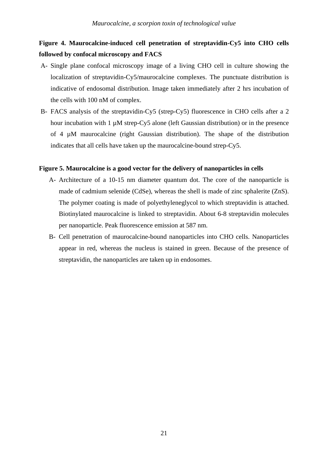# **Figure 4. Maurocalcine-induced cell penetration of streptavidin-Cy5 into CHO cells followed by confocal microscopy and FACS**

- A- Single plane confocal microscopy image of a living CHO cell in culture showing the localization of streptavidin-Cy5/maurocalcine complexes. The punctuate distribution is indicative of endosomal distribution. Image taken immediately after 2 hrs incubation of the cells with 100 nM of complex.
- B- FACS analysis of the streptavidin-Cy5 (strep-Cy5) fluorescence in CHO cells after a 2 hour incubation with  $1 \mu M$  strep-Cy5 alone (left Gaussian distribution) or in the presence of 4 µM maurocalcine (right Gaussian distribution). The shape of the distribution indicates that all cells have taken up the maurocalcine-bound strep-Cy5.

### **Figure 5. Maurocalcine is a good vector for the delivery of nanoparticles in cells**

- A- Architecture of a 10-15 nm diameter quantum dot. The core of the nanoparticle is made of cadmium selenide (CdSe), whereas the shell is made of zinc sphalerite (ZnS). The polymer coating is made of polyethyleneglycol to which streptavidin is attached. Biotinylated maurocalcine is linked to streptavidin. About 6-8 streptavidin molecules per nanoparticle. Peak fluorescence emission at 587 nm.
- B- Cell penetration of maurocalcine-bound nanoparticles into CHO cells. Nanoparticles appear in red, whereas the nucleus is stained in green. Because of the presence of streptavidin, the nanoparticles are taken up in endosomes.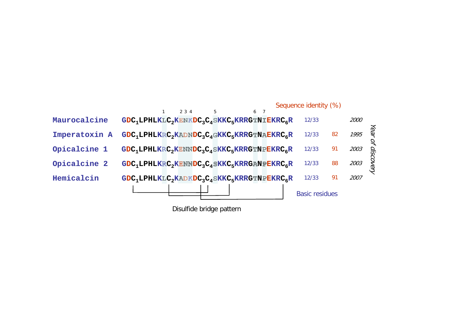

Disulfide bridge pattern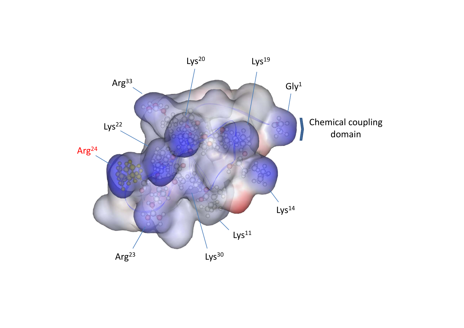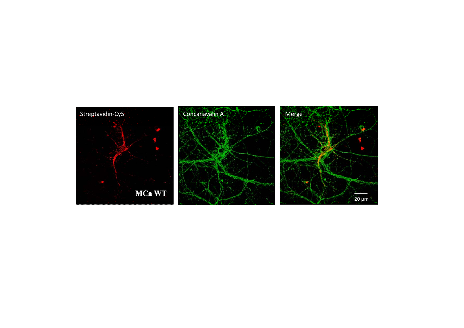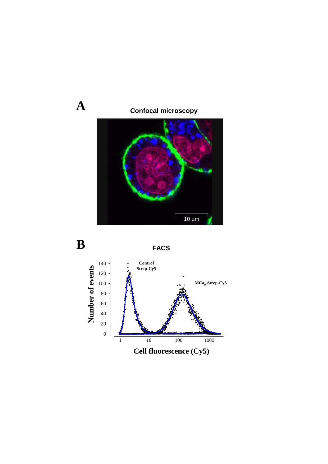



**A**

**FACS**